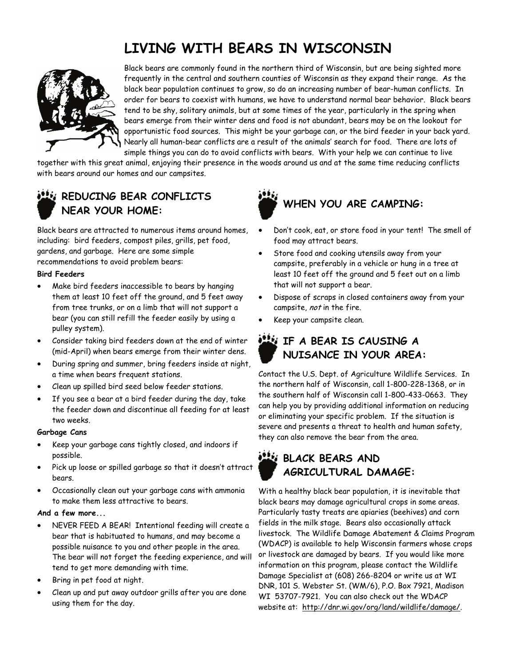# **LIVING WITH BEARS IN WISCONSIN**



Black bears are commonly found in the northern third of Wisconsin, but are being sighted more frequently in the central and southern counties of Wisconsin as they expand their range. As the black bear population continues to grow, so do an increasing number of bear-human conflicts. In order for bears to coexist with humans, we have to understand normal bear behavior. Black bears tend to be shy, solitary animals, but at some times of the year, particularly in the spring when bears emerge from their winter dens and food is not abundant, bears may be on the lookout for opportunistic food sources. This might be your garbage can, or the bird feeder in your back yard. Nearly all human-bear conflicts are a result of the animals' search for food. There are lots of simple things you can do to avoid conflicts with bears. With your help we can continue to live

together with this great animal, enjoying their presence in the woods around us and at the same time reducing conflicts with bears around our homes and our campsites.

### **REDUCING BEAR CONFLICTS NEAR YOUR HOME:**

Black bears are attracted to numerous items around homes, including: bird feeders, compost piles, grills, pet food, gardens, and garbage. Here are some simple recommendations to avoid problem bears:

#### **Bird Feeders**

- Make bird feeders inaccessible to bears by hanging them at least 10 feet off the ground, and 5 feet away from tree trunks, or on a limb that will not support a bear (you can still refill the feeder easily by using a pulley system).
- Consider taking bird feeders down at the end of winter (mid-April) when bears emerge from their winter dens.
- During spring and summer, bring feeders inside at night, a time when bears frequent stations.
- Clean up spilled bird seed below feeder stations.
- If you see a bear at a bird feeder during the day, take the feeder down and discontinue all feeding for at least two weeks.

#### **Garbage Cans**

- Keep your garbage cans tightly closed, and indoors if possible.
- Pick up loose or spilled garbage so that it doesn't attract bears.
- Occasionally clean out your garbage cans with ammonia to make them less attractive to bears.

#### **And a few more...**

- NEVER FEED A BEAR! Intentional feeding will create a bear that is habituated to humans, and may become a possible nuisance to you and other people in the area. The bear will not forget the feeding experience, and will tend to get more demanding with time.
- Bring in pet food at night.
- Clean up and put away outdoor grills after you are done using them for the day.



- Don't cook, eat, or store food in your tent! The smell of food may attract bears.
- Store food and cooking utensils away from your campsite, preferably in a vehicle or hung in a tree at least 10 feet off the ground and 5 feet out on a limb that will not support a bear.
- Dispose of scraps in closed containers away from your campsite, not in the fire.
- Keep your campsite clean.

## **IF A BEAR IS CAUSING A NUISANCE IN YOUR AREA:**

Contact the U.S. Dept. of Agriculture Wildlife Services. In the northern half of Wisconsin, call 1-800-228-1368, or in the southern half of Wisconsin call 1-800-433-0663. They can help you by providing additional information on reducing or eliminating your specific problem. If the situation is severe and presents a threat to health and human safety, they can also remove the bear from the area.

### **BLACK BEARS AND AGRICULTURAL DAMAGE:**

With a healthy black bear population, it is inevitable that black bears may damage agricultural crops in some areas. Particularly tasty treats are apiaries (beehives) and corn fields in the milk stage. Bears also occasionally attack livestock. The Wildlife Damage Abatement & Claims Program (WDACP) is available to help Wisconsin farmers whose crops or livestock are damaged by bears. If you would like more information on this program, please contact the Wildlife Damage Specialist at (608) 266-8204 or write us at WI DNR, 101 S. Webster St. (WM/6), P.O. Box 7921, Madison WI 53707-7921. You can also check out the WDACP website at: http://dnr.wi.gov/org/land/wildlife/damage/.